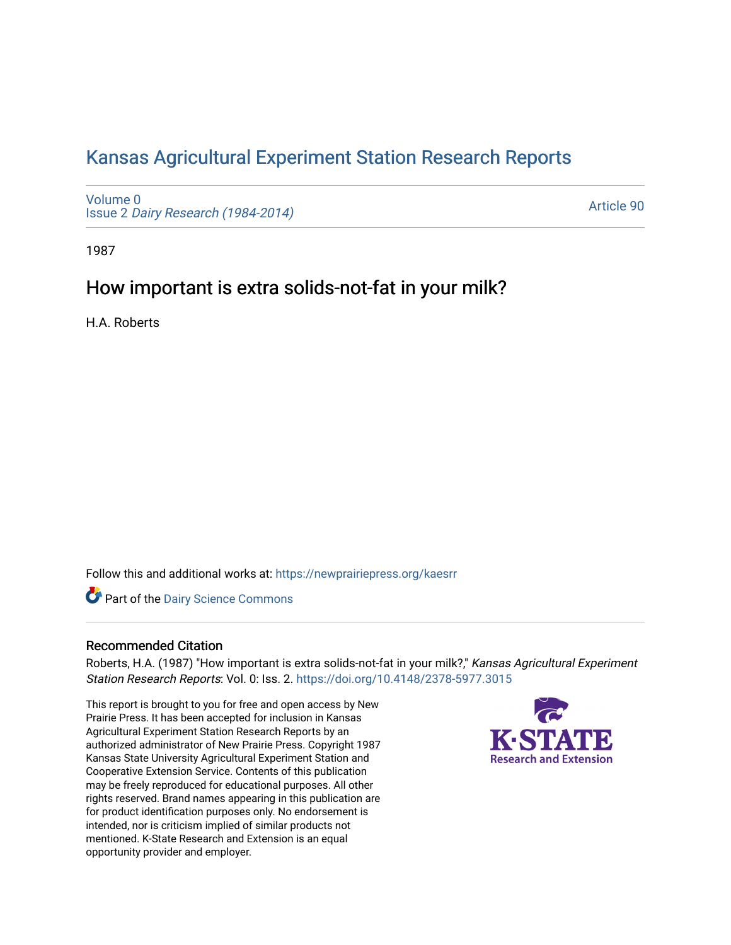# [Kansas Agricultural Experiment Station Research Reports](https://newprairiepress.org/kaesrr)

[Volume 0](https://newprairiepress.org/kaesrr/vol0) Issue 2 [Dairy Research \(1984-2014\)](https://newprairiepress.org/kaesrr/vol0/iss2) 

[Article 90](https://newprairiepress.org/kaesrr/vol0/iss2/90) 

1987

## How important is extra solids-not-fat in your milk?

H.A. Roberts

Follow this and additional works at: [https://newprairiepress.org/kaesrr](https://newprairiepress.org/kaesrr?utm_source=newprairiepress.org%2Fkaesrr%2Fvol0%2Fiss2%2F90&utm_medium=PDF&utm_campaign=PDFCoverPages) 

**Part of the Dairy Science Commons** 

## Recommended Citation

Roberts, H.A. (1987) "How important is extra solids-not-fat in your milk?," Kansas Agricultural Experiment Station Research Reports: Vol. 0: Iss. 2.<https://doi.org/10.4148/2378-5977.3015>

This report is brought to you for free and open access by New Prairie Press. It has been accepted for inclusion in Kansas Agricultural Experiment Station Research Reports by an authorized administrator of New Prairie Press. Copyright 1987 Kansas State University Agricultural Experiment Station and Cooperative Extension Service. Contents of this publication may be freely reproduced for educational purposes. All other rights reserved. Brand names appearing in this publication are for product identification purposes only. No endorsement is intended, nor is criticism implied of similar products not mentioned. K-State Research and Extension is an equal opportunity provider and employer.

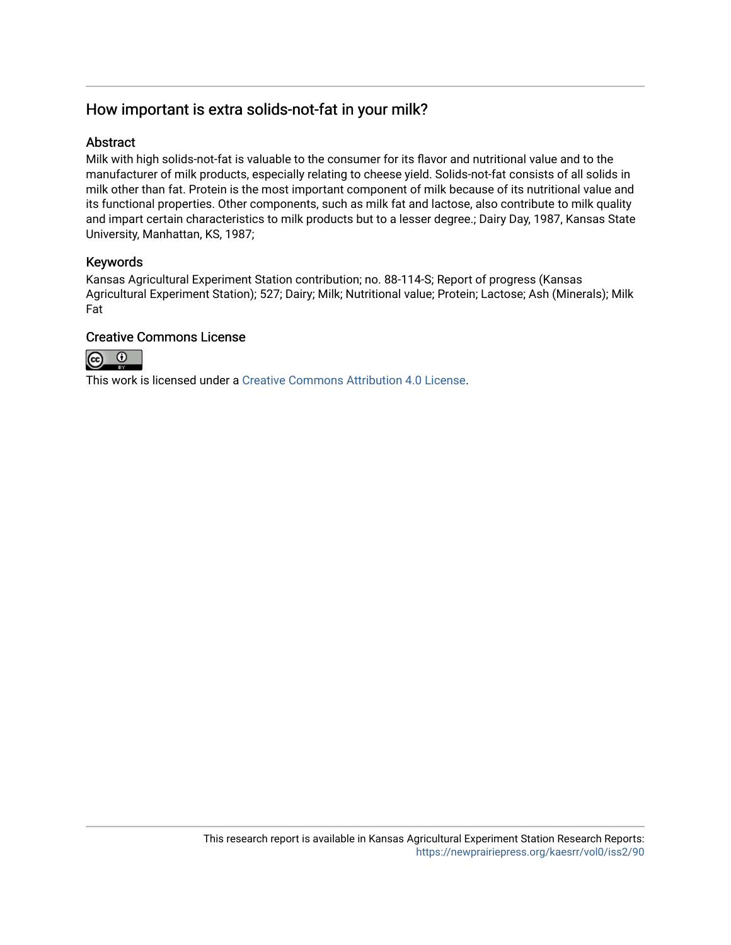## How important is extra solids-not-fat in your milk?

## Abstract

Milk with high solids-not-fat is valuable to the consumer for its flavor and nutritional value and to the manufacturer of milk products, especially relating to cheese yield. Solids-not-fat consists of all solids in milk other than fat. Protein is the most important component of milk because of its nutritional value and its functional properties. Other components, such as milk fat and lactose, also contribute to milk quality and impart certain characteristics to milk products but to a lesser degree.; Dairy Day, 1987, Kansas State University, Manhattan, KS, 1987;

### Keywords

Kansas Agricultural Experiment Station contribution; no. 88-114-S; Report of progress (Kansas Agricultural Experiment Station); 527; Dairy; Milk; Nutritional value; Protein; Lactose; Ash (Minerals); Milk Fat

### Creative Commons License



This work is licensed under a [Creative Commons Attribution 4.0 License](https://creativecommons.org/licenses/by/4.0/).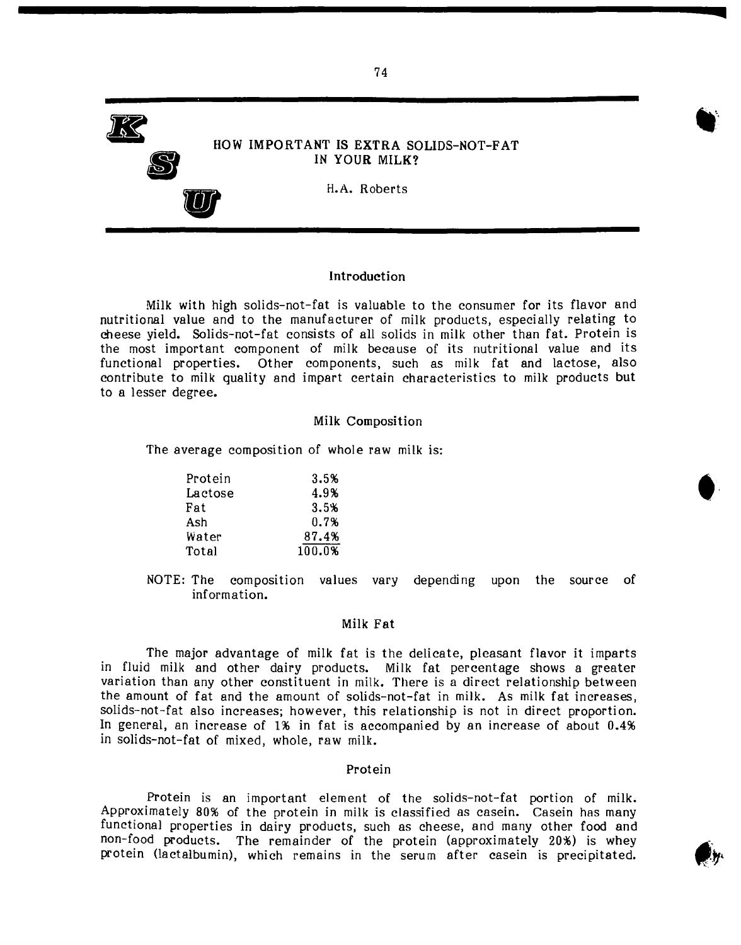

#### **Introduction**

Milk with high solids-not-fat is valuable to the consumer for its flavor and nutritional value and to the manufacturer of milk products, especially relating to cheese yield. Solids-not-fat consists of all solids in milk other than fat. Protein is the most important component of milk because of its nutritional value and its functional properties. Other components, such as milk fat and lactose, also contribute to milk quality and impart certain characteristics to milk products but to a lesser degree.

#### Milk Composition

The average composition of whole raw milk is:

| Protein | 3.5%   |
|---------|--------|
| Lactose | 4.9%   |
| Fat     | 3.5%   |
| Ash     | 0.7%   |
| Water   | 87.4%  |
| Total   | 100.0% |

NOTE: The composition values vary depending upon the source of information.

#### Milk Fat

The major advantage of milk fat is the delicate, pleasant flavor it imparts in fluid milk and other dairy products. Milk fat percentage shows a greater variation than any other constituent in milk. There is a direct relationship between the amount of fat and the amount of solids-not-fat in milk. As milk fat increases, solids-not-fat also increases; however, this relationship is not in direct proportion. In general, an increase of 1% in fat is accompanied by an increase of about 0.4% in solids-not-fat of mixed, whole, raw milk.

#### Protein

Protein is an important element of the solids-not-fat portion of milk. Approximately 80% of the protein in milk is classified as casein. Casein has many functional properties in dairy products, such as cheese, and many other food and non-food products. The remainder of the protein (approximately 20%) is whey protein (lactalbumin), which remains in the serum after casein is precipitated.





**<**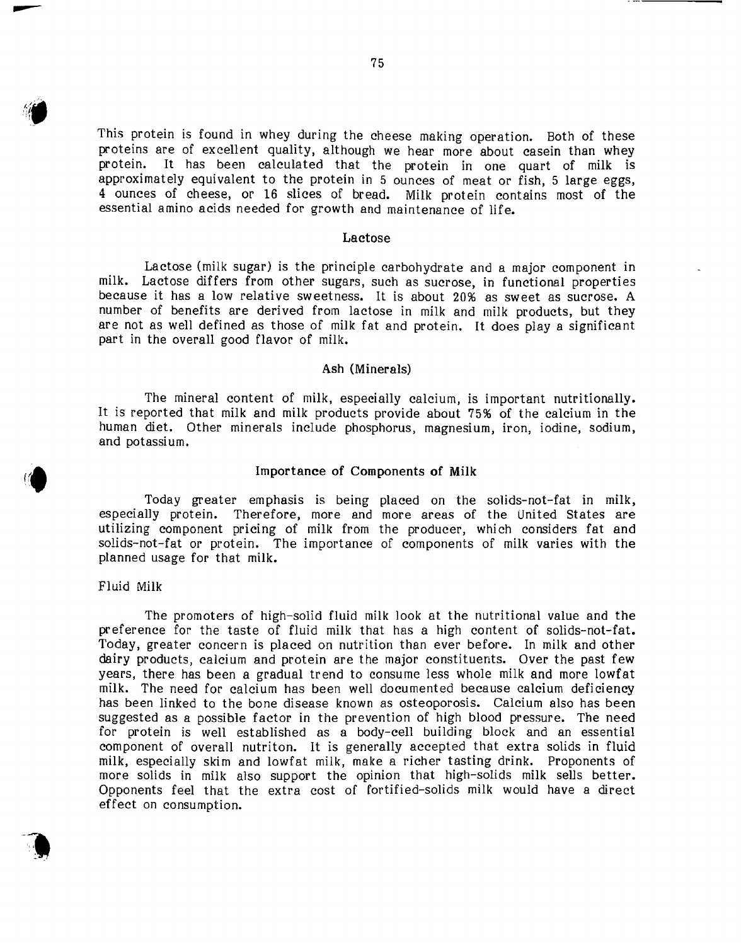This protein is found in whey during the cheese making operation. Both of these proteins are of excellent quality, although we hear more about casein than whey protein. It has been calculated that the protein in one quart of milk is approximately equivalent to the protein in 5 ounces of meat or fish, 5 large eggs, 4 ounces of cheese, or 16 slices of bread. Milk protein contains most of the essential amino acids needed for growth and maintenance of life.

#### Lactose

Lactose (milk sugar) is the principle carbohydrate and a major component in milk. Lactose differs from other sugars, such as sucrose, in functional properties because it has a low relative sweetness. It is about 20% as sweet as sucrose. A number of benefits are derived from lactose in milk and milk products, but they are not as well defined as those of milk fat and protein. It does play a significant part in the overall good flavor of milk.

#### Ash (Minerals)

The mineral content of milk, especially calcium, is important nutritionally. It is reported that milk and milk products provide about 75% of the calcium in the human diet. Other minerals include phosphorus, magnesium, iron, iodine, sodium, and potassium.

#### Importance of Components of **Milk**

Today greater emphasis is being placed on the solids-not-fat in milk, especially protein. Therefore, more and more areas of the United States are utilizing component pricing of milk from the producer, which considers fat and solids-nat-fat or protein. The importance of components of milk varies with the planned usage for that milk.

#### Fluid Milk

The promoters of high-solid fluid milk look at the nutritional value and the preference for the taste of fluid milk that has a high content of solids-not-fat. Today, greater concern is placed on nutrition than ever before. In milk and other dairy products, calcium and protein are the major constituents. Over the past few years, there has been a gradual trend to consume less whole milk and more lowfat milk. The need for calcium has been well documented because calcium deficiency has been linked to the bone disease known as osteoporosis. Calcium also has been suggested as a possible factor in the prevention of high blood pressure. The need for protein is well established as a body-cell building block and an essential component of overall nutriton. It is generally accepted that extra solids in fluid milk, especially skim and lowfat milk, make a richer tasting drink. Proponents of more solids in milk also support the opinion that high-solids milk sells better. Opponents feel that the extra cost of fortified-solids milk would have a direct effect on consumption.